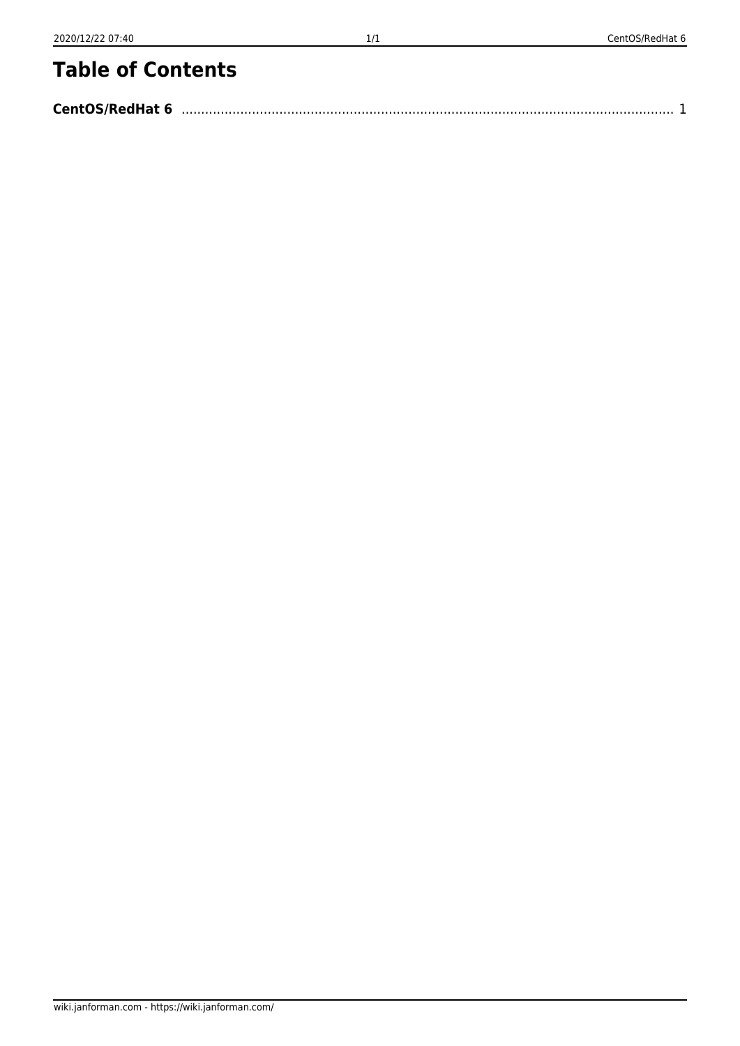## **Table of Contents**

| <b>CentOS/RedHat 6</b> |  |
|------------------------|--|
|                        |  |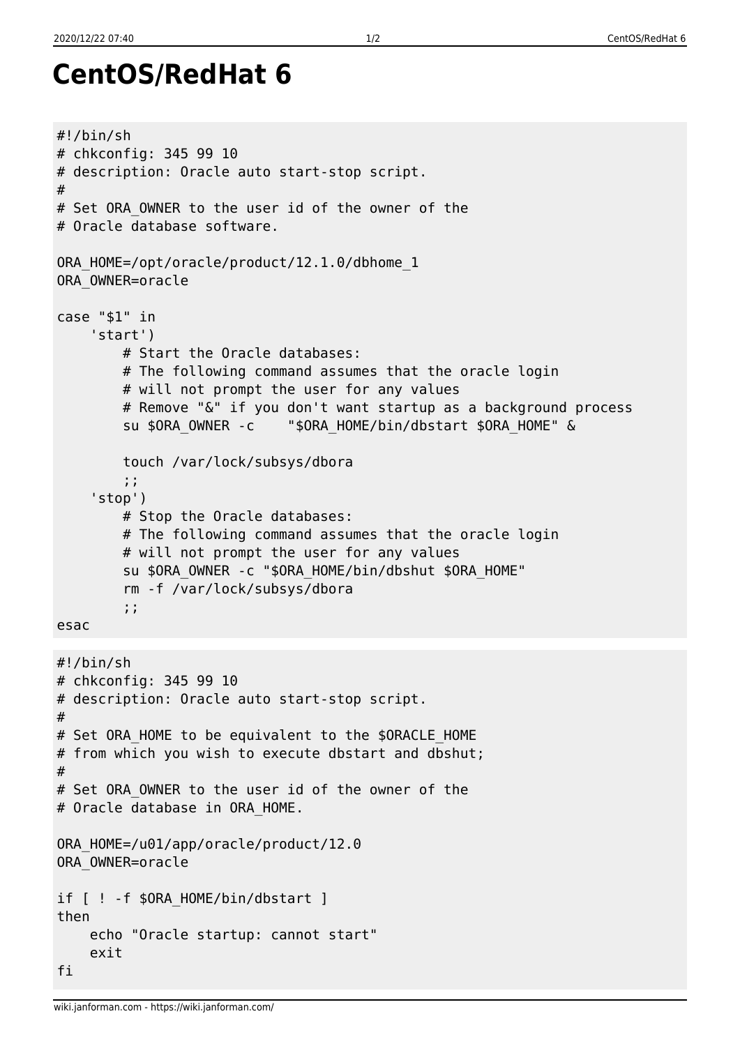```
CentOS/RedHat 6
#!/bin/sh
# chkconfig: 345 99 10
# description: Oracle auto start-stop script.
#
# Set ORA OWNER to the user id of the owner of the
# Oracle database software.
ORA_HOME=/opt/oracle/product/12.1.0/dbhome_1
ORA_OWNER=oracle
case "$1" in
     'start')
         # Start the Oracle databases:
         # The following command assumes that the oracle login
         # will not prompt the user for any values
         # Remove "&" if you don't want startup as a background process
        su $ORA OWNER -c "$ORA HOME/bin/dbstart $ORA HOME" &
         touch /var/lock/subsys/dbora
         ;;
     'stop')
         # Stop the Oracle databases:
```

```
 # The following command assumes that the oracle login
 # will not prompt the user for any values
 su $ORA_OWNER -c "$ORA_HOME/bin/dbshut $ORA_HOME"
 rm -f /var/lock/subsys/dbora
 ;;
```
esac

```
#!/bin/sh
# chkconfig: 345 99 10
# description: Oracle auto start-stop script.
#
# Set ORA_HOME to be equivalent to the $ORACLE_HOME
# from which you wish to execute dbstart and dbshut;
#
# Set ORA OWNER to the user id of the owner of the
# Oracle database in ORA HOME.
ORA_HOME=/u01/app/oracle/product/12.0
ORA_OWNER=oracle
if [ ! -f $ORA HOME/bin/dbstart ]
then
     echo "Oracle startup: cannot start"
     exit
fi
```